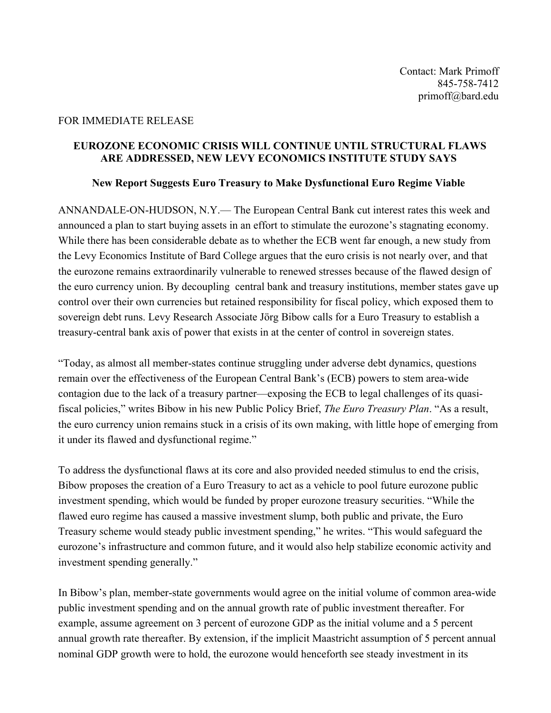## FOR IMMEDIATE RELEASE

## **EUROZONE ECONOMIC CRISIS WILL CONTINUE UNTIL STRUCTURAL FLAWS ARE ADDRESSED, NEW LEVY ECONOMICS INSTITUTE STUDY SAYS**

## **New Report Suggests Euro Treasury to Make Dysfunctional Euro Regime Viable**

ANNANDALE-ON-HUDSON, N.Y.— The European Central Bank cut interest rates this week and announced a plan to start buying assets in an effort to stimulate the eurozone's stagnating economy. While there has been considerable debate as to whether the ECB went far enough, a new study from the Levy Economics Institute of Bard College argues that the euro crisis is not nearly over, and that the eurozone remains extraordinarily vulnerable to renewed stresses because of the flawed design of the euro currency union. By decoupling central bank and treasury institutions, member states gave up control over their own currencies but retained responsibility for fiscal policy, which exposed them to sovereign debt runs. Levy Research Associate Jörg Bibow calls for a Euro Treasury to establish a treasury-central bank axis of power that exists in at the center of control in sovereign states.

"Today, as almost all member-states continue struggling under adverse debt dynamics, questions remain over the effectiveness of the European Central Bank's (ECB) powers to stem area-wide contagion due to the lack of a treasury partner—exposing the ECB to legal challenges of its quasifiscal policies," writes Bibow in his new Public Policy Brief, *The Euro Treasury Plan*. "As a result, the euro currency union remains stuck in a crisis of its own making, with little hope of emerging from it under its flawed and dysfunctional regime."

To address the dysfunctional flaws at its core and also provided needed stimulus to end the crisis, Bibow proposes the creation of a Euro Treasury to act as a vehicle to pool future eurozone public investment spending, which would be funded by proper eurozone treasury securities. "While the flawed euro regime has caused a massive investment slump, both public and private, the Euro Treasury scheme would steady public investment spending," he writes. "This would safeguard the eurozone's infrastructure and common future, and it would also help stabilize economic activity and investment spending generally."

In Bibow's plan, member-state governments would agree on the initial volume of common area-wide public investment spending and on the annual growth rate of public investment thereafter. For example, assume agreement on 3 percent of eurozone GDP as the initial volume and a 5 percent annual growth rate thereafter. By extension, if the implicit Maastricht assumption of 5 percent annual nominal GDP growth were to hold, the eurozone would henceforth see steady investment in its